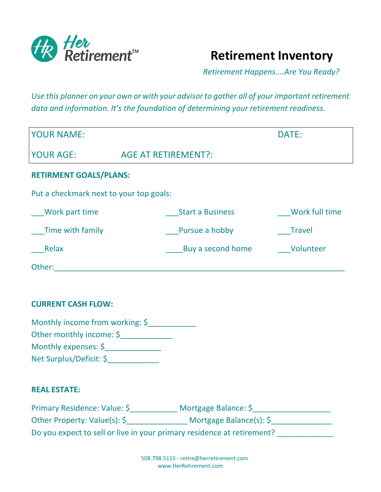

 **Retirement Inventory**

 *Retirement Happens....Are You Ready?*

*Use this planner on your own or with your advisor to gather all of your important retirement data and information. It's the foundation of determining your retirement readiness.*

| <b>YOUR NAME:</b>                       | DATE:                      |                |  |
|-----------------------------------------|----------------------------|----------------|--|
| <b>YOUR AGE:</b>                        | <b>AGE AT RETIREMENT?:</b> |                |  |
| <b>RETIRMENT GOALS/PLANS:</b>           |                            |                |  |
| Put a checkmark next to your top goals: |                            |                |  |
| Work part time                          | <b>Start a Business</b>    | Work full time |  |
| Time with family                        | Pursue a hobby             | <b>Travel</b>  |  |
| Relax                                   | Buy a second home          | Volunteer      |  |
| Other:                                  |                            |                |  |

### **CURRENT CASH FLOW:**

| Monthly income from working: \$ |  |
|---------------------------------|--|
| Other monthly income: \$        |  |
| Monthly expenses: \$            |  |
| Net Surplus/Deficit: \$         |  |

## **REAL ESTATE:**

| Primary Residence: Value: \$                                           | Mortgage Balance: \$               |
|------------------------------------------------------------------------|------------------------------------|
| Other Property: Value(s): \$                                           | Mortgage Balance(s): $\frac{1}{2}$ |
| Do you expect to sell or live in your primary residence at retirement? |                                    |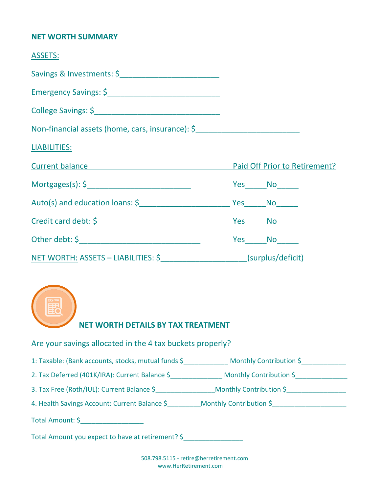#### **NET WORTH SUMMARY**

| <b>ASSETS:</b>                                                       |                     |  |
|----------------------------------------------------------------------|---------------------|--|
| Savings & Investments: \$                                            |                     |  |
|                                                                      |                     |  |
|                                                                      |                     |  |
| Non-financial assets (home, cars, insurance): \$                     |                     |  |
| <b>LIABILITIES:</b>                                                  |                     |  |
| <b>Current balance Current balance Paid Off Prior to Retirement?</b> |                     |  |
| $Mortgages(s): \xi$                                                  | Yes No              |  |
|                                                                      |                     |  |
|                                                                      | Yes_______No_______ |  |
|                                                                      | Yes No              |  |
| NET WORTH: ASSETS - LIABILITIES: \$ (surplus/deficit)                |                     |  |



Are your savings allocated in the 4 tax buckets properly?

1: Taxable: (Bank accounts, stocks, mutual funds \$ \_\_\_\_\_\_\_\_\_\_\_\_\_\_\_\_\_\_\_\_\_\_\_\_\_\_\_\_\_

2. Tax Deferred (401K/IRA): Current Balance \$\_\_\_\_\_\_\_\_\_\_\_\_\_\_\_\_\_\_ Monthly Contribution \$\_\_\_\_\_\_\_\_\_\_\_\_\_

3. Tax Free (Roth/IUL): Current Balance \$\_\_\_\_\_\_\_\_\_\_\_\_\_\_\_\_Monthly Contribution \$\_\_\_\_\_\_\_\_\_\_\_\_\_\_\_\_

4. Health Savings Account: Current Balance \$\_\_\_\_\_\_\_\_\_Monthly Contribution \$\_\_\_\_\_\_\_\_\_\_\_\_\_\_\_\_\_\_\_\_

Total Amount: \$

Total Amount you expect to have at retirement? \$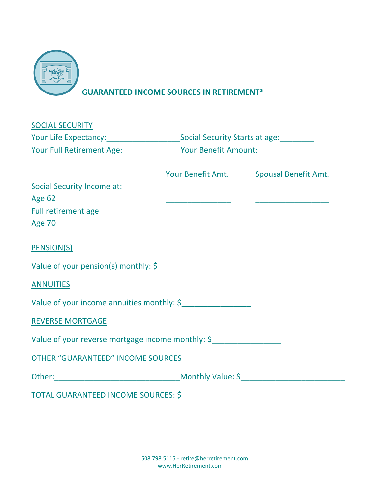

 **GUARANTEED INCOME SOURCES IN RETIREMENT\***

| <b>SOCIAL SECURITY</b>                                                                      |                                                |                                        |
|---------------------------------------------------------------------------------------------|------------------------------------------------|----------------------------------------|
| Your Life Expectancy: ___________________________Social Security Starts at age: ___________ |                                                |                                        |
|                                                                                             | Your Full Retirement Age: Vour Benefit Amount: |                                        |
|                                                                                             |                                                | Your Benefit Amt. Spousal Benefit Amt. |
| <b>Social Security Income at:</b>                                                           |                                                |                                        |
| <b>Age 62</b>                                                                               |                                                |                                        |
| Full retirement age                                                                         |                                                |                                        |
| <b>Age 70</b>                                                                               |                                                |                                        |
| <b>PENSION(S)</b>                                                                           |                                                |                                        |
| Value of your pension(s) monthly: \$                                                        |                                                |                                        |
| <b>ANNUITIES</b>                                                                            |                                                |                                        |
| Value of your income annuities monthly: \$                                                  |                                                |                                        |
| <b>REVERSE MORTGAGE</b>                                                                     |                                                |                                        |
| Value of your reverse mortgage income monthly: \$                                           |                                                |                                        |
| <b>OTHER "GUARANTEED" INCOME SOURCES</b>                                                    |                                                |                                        |
| Other: Monthly Value: \$                                                                    |                                                |                                        |
|                                                                                             |                                                |                                        |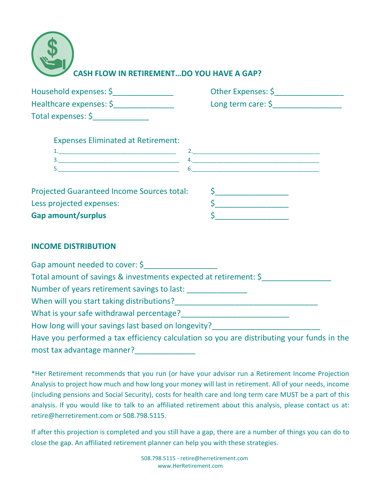| <b>CASH FLOW IN RETIREMENTDO YOU HAVE A GAP?</b> |
|--------------------------------------------------|

| Household expenses: \$  | Other Expenses: \$            |
|-------------------------|-------------------------------|
| Healthcare expenses: \$ | Long term care: $\frac{1}{2}$ |
| Total expenses: \$      |                               |

| <b>Expenses Eliminated at Retirement:</b> |  |  |
|-------------------------------------------|--|--|
|                                           |  |  |
|                                           |  |  |
|                                           |  |  |
|                                           |  |  |

| <b>Projected Guaranteed Income Sources total:</b> |  |
|---------------------------------------------------|--|
| Less projected expenses:                          |  |
| <b>Gap amount/surplus</b>                         |  |

# **INCOME DISTRIBUTION**

Gap amount needed to cover: \$ Total amount of savings & investments expected at retirement: \$\_\_\_\_\_\_\_\_\_\_\_\_\_\_\_\_ Number of years retirement savings to last: When will you start taking distributions?\_\_\_\_\_\_\_\_\_\_\_\_\_\_\_\_\_\_\_\_\_\_\_\_\_\_\_\_\_\_\_\_\_ What is your safe withdrawal percentage?\_\_\_\_\_\_\_\_\_\_\_\_\_\_\_\_\_\_\_\_\_\_\_\_\_ How long will your savings last based on longevity? Have you performed a tax efficiency calculation so you are distributing your funds in the most tax advantage manner?

\*Her Retirement recommends that you run (or have your advisor run a Retirement Income Projection Analysis to project how much and how long your money will last in retirement. All of your needs, income (including pensions and Social Security), costs for health care and long term care MUST be a part of this analysis. If you would like to talk to an affiliated retirement about this analysis, please contact us at: retire@herretirement.com or 508.798.5115.

If after this projection is completed and you still have a gap, there are a number of things you can do to close the gap. An affiliated retirement planner can help you with these strategies.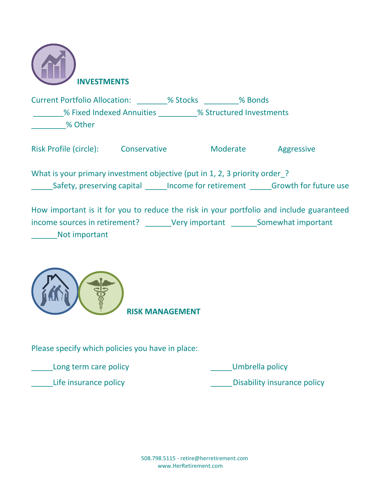

Current Portfolio Allocation: \_\_\_\_\_\_\_% Stocks \_\_\_\_\_\_\_\_% Bonds \_\_\_\_\_\_\_% Fixed Indexed Annuities \_\_\_\_\_\_\_\_\_% Structured Investments \_\_\_\_\_\_\_\_% Other

Risk Profile (circle): Conservative Moderate Aggressive

What is your primary investment objective (put in 1, 2, 3 priority order? Safety, preserving capital lincome for retirement Growth for future use

How important is it for you to reduce the risk in your portfolio and include guaranteed income sources in retirement? Wery important Somewhat important \_\_\_\_\_\_Not important



 **RISK MANAGEMENT**

Please specify which policies you have in place:

Long term care policy and the control of the Umbrella policy

Life insurance policy and the settlement of the Disability insurance policy